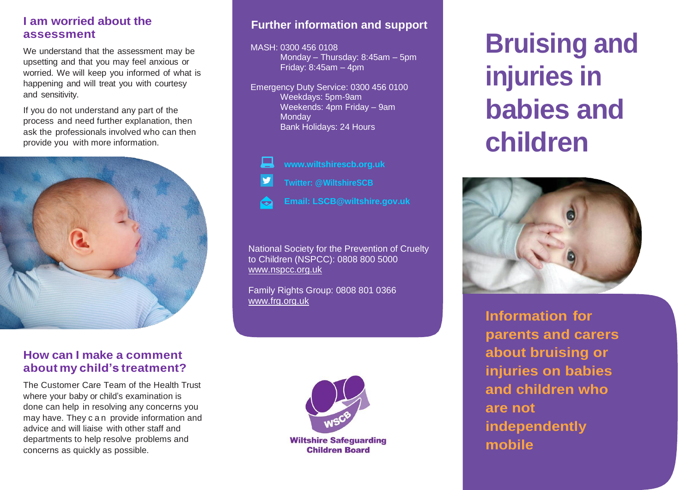## **I am worried about the assessment**

We understand that the assessment may be upsetting and that you may feel anxious or worried. We will keep you informed of what is happening and will treat you with courtesy and sensitivity.

If you do not understand any part of the process and need further explanation, then ask the professionals involved who can then provide you with more information.



### **How can I make a comment about my child's treatment?**

The Customer Care Team of the Health Trust where your baby or child's examination is done can help in resolving any concerns you may have. They c a n provide information and advice and will liaise with other staff and departments to help resolve problems and concerns as quickly as possible.

# **Further information and support**

#### MASH: 0300 456 0108

Monday – Thursday: 8:45am – 5pm Friday: 8:45am – 4pm

Emergency Duty Service: 0300 456 0100 Weekdays: 5pm-9am Weekends: 4pm Friday – 9am **Monday** Bank Holidays: 24 Hours



- **Twitter: @WiltshireSCB**
- **Email: LSCB@wiltshire.gov.uk** Œ

National Society for the Prevention of Cruelty to Children (NSPCC): 0808 800 5000 [www.nspcc.org.uk](http://www.nspcc.org.uk/)

Family Rights Group: 0808 801 0366 [www.frg.org.uk](http://www.frg.org.uk/)



**Children Board** 

# **Bruising and injuries in babies and children**



**Information for parents and carers about bruising or injuries on babies and children who are not independently mobile**